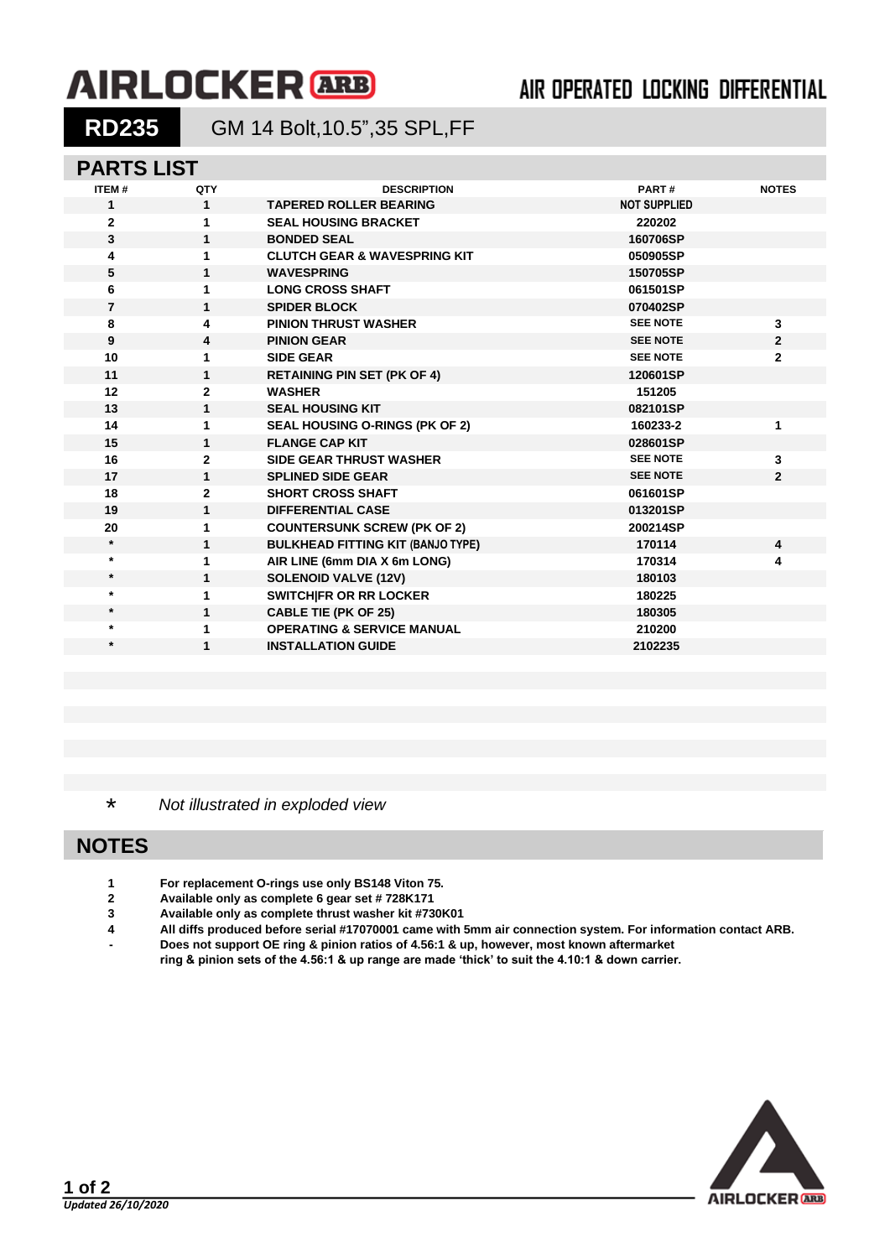# **AIRLOCKER** ARB

## AIR OPERATED LOCKING DIFFERENTIAL

**RD235** GM 14 Bolt,10.5",35 SPL,FF

#### **PARTS LIST**

| ITEM#          | QTY            | <b>DESCRIPTION</b>                       | PART#               | <b>NOTES</b>   |
|----------------|----------------|------------------------------------------|---------------------|----------------|
| 1              | $\mathbf{1}$   | <b>TAPERED ROLLER BEARING</b>            | <b>NOT SUPPLIED</b> |                |
| $\mathbf{2}$   | 1              | <b>SEAL HOUSING BRACKET</b>              | 220202              |                |
| 3              | $\mathbf{1}$   | <b>BONDED SEAL</b>                       | 160706SP            |                |
| 4              | 1              | <b>CLUTCH GEAR &amp; WAVESPRING KIT</b>  | 050905SP            |                |
| 5              | $\mathbf{1}$   | <b>WAVESPRING</b>                        | 150705SP            |                |
| 6              | 1              | <b>LONG CROSS SHAFT</b>                  | 061501SP            |                |
| $\overline{7}$ | $\mathbf{1}$   | <b>SPIDER BLOCK</b>                      | 070402SP            |                |
| 8              | 4              | <b>PINION THRUST WASHER</b>              | <b>SEE NOTE</b>     | 3              |
| 9              | 4              | <b>PINION GEAR</b>                       | <b>SEE NOTE</b>     | $\mathbf{2}$   |
| 10             | 1              | <b>SIDE GEAR</b>                         | <b>SEE NOTE</b>     | $\mathbf{2}$   |
| 11             | $\mathbf{1}$   | <b>RETAINING PIN SET (PK OF 4)</b>       | 120601SP            |                |
| 12             | 2              | <b>WASHER</b>                            | 151205              |                |
| 13             | $\mathbf{1}$   | <b>SEAL HOUSING KIT</b>                  | 082101SP            |                |
| 14             | 1              | SEAL HOUSING O-RINGS (PK OF 2)           | 160233-2            | 1              |
| 15             | 1              | <b>FLANGE CAP KIT</b>                    | 028601SP            |                |
| 16             | $\overline{2}$ | <b>SIDE GEAR THRUST WASHER</b>           | <b>SEE NOTE</b>     | 3              |
| 17             | $\mathbf{1}$   | <b>SPLINED SIDE GEAR</b>                 | <b>SEE NOTE</b>     | $\overline{2}$ |
| 18             | $\overline{2}$ | <b>SHORT CROSS SHAFT</b>                 | 061601SP            |                |
| 19             | $\mathbf{1}$   | <b>DIFFERENTIAL CASE</b>                 | 013201SP            |                |
| 20             | 1              | <b>COUNTERSUNK SCREW (PK OF 2)</b>       | 200214SP            |                |
| $\star$        | $\mathbf{1}$   | <b>BULKHEAD FITTING KIT (BANJO TYPE)</b> | 170114              | 4              |
| $\star$        | 1              | AIR LINE (6mm DIA X 6m LONG)             | 170314              | 4              |
| $\star$        | 1              | <b>SOLENOID VALVE (12V)</b>              | 180103              |                |
| $\star$        | 1              | <b>SWITCHIFR OR RR LOCKER</b>            | 180225              |                |
| $\star$        | $\mathbf{1}$   | <b>CABLE TIE (PK OF 25)</b>              | 180305              |                |
| $\star$        | 1              | <b>OPERATING &amp; SERVICE MANUAL</b>    | 210200              |                |
| $\star$        | 1              | <b>INSTALLATION GUIDE</b>                | 2102235             |                |
|                |                |                                          |                     |                |

\* *Not illustrated in exploded view*

## **NOTES**

- **1 For replacement O-rings use only BS148 Viton 75.**
- **2 Available only as complete 6 gear set # 728K171**
- **3 Available only as complete thrust washer kit #730K01**
- **4 All diffs produced before serial #17070001 came with 5mm air connection system. For information contact ARB. - Does not support OE ring & pinion ratios of 4.56:1 & up, however, most known aftermarket**
- **ring & pinion sets of the 4.56:1 & up range are made 'thick' to suit the 4.10:1 & down carrier.**